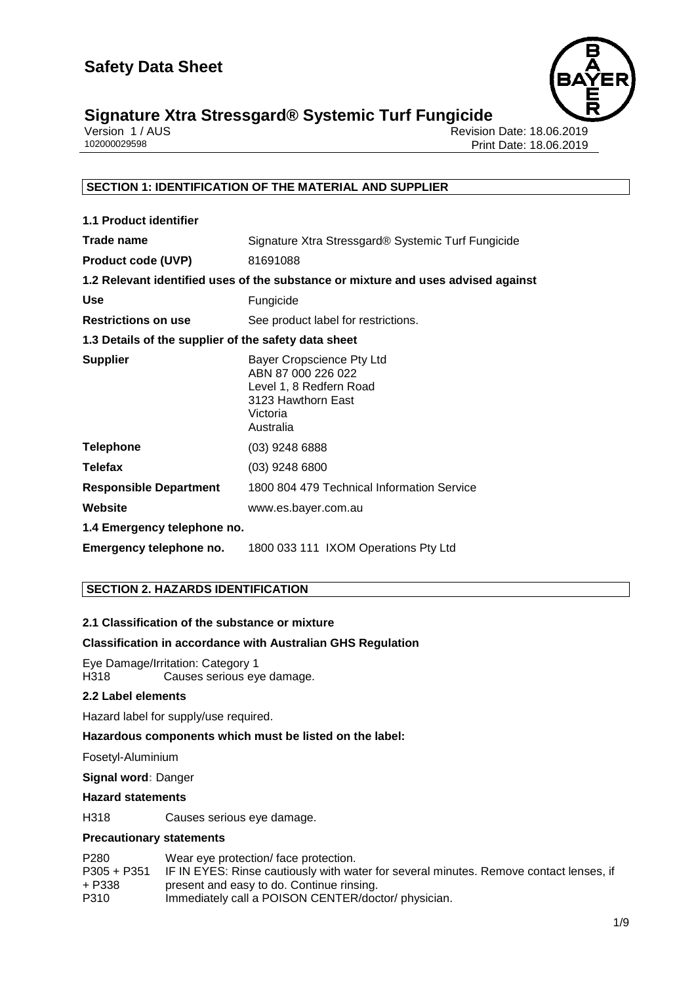

## **Signature Xtra Stressgard® Systemic Turf Fungicide 1/9**

| Version 1 / AUS |  |
|-----------------|--|
| 102000029598    |  |

Revision Date: 18.06.2019 Print Date: 18.06.2019

## **SECTION 1: IDENTIFICATION OF THE MATERIAL AND SUPPLIER**

| 1.1 Product identifier                               |                                                                                                                           |
|------------------------------------------------------|---------------------------------------------------------------------------------------------------------------------------|
| Trade name                                           | Signature Xtra Stressgard® Systemic Turf Fungicide                                                                        |
| <b>Product code (UVP)</b>                            | 81691088                                                                                                                  |
|                                                      | 1.2 Relevant identified uses of the substance or mixture and uses advised against                                         |
| Use                                                  | Fungicide                                                                                                                 |
| <b>Restrictions on use</b>                           | See product label for restrictions.                                                                                       |
| 1.3 Details of the supplier of the safety data sheet |                                                                                                                           |
| <b>Supplier</b>                                      | Bayer Cropscience Pty Ltd<br>ABN 87 000 226 022<br>Level 1, 8 Redfern Road<br>3123 Hawthorn East<br>Victoria<br>Australia |
| <b>Telephone</b>                                     | $(03)$ 9248 6888                                                                                                          |
| <b>Telefax</b>                                       | $(03)$ 9248 6800                                                                                                          |
| <b>Responsible Department</b>                        | 1800 804 479 Technical Information Service                                                                                |
| Website                                              | www.es.bayer.com.au                                                                                                       |
| 1.4 Emergency telephone no.                          |                                                                                                                           |
| Emergency telephone no.                              | 1800 033 111 IXOM Operations Pty Ltd                                                                                      |

## **SECTION 2. HAZARDS IDENTIFICATION**

## **2.1 Classification of the substance or mixture**

## **Classification in accordance with Australian GHS Regulation**

Eye Damage/Irritation: Category 1 Causes serious eye damage.

## **2.2 Label elements**

Hazard label for supply/use required.

## **Hazardous components which must be listed on the label:**

Fosetyl-Aluminium

## **Signal word:** Danger

#### **Hazard statements**

H318 Causes serious eye damage.

## **Precautionary statements**

| P <sub>280</sub> | Wear eye protection/ face protection.                                                  |
|------------------|----------------------------------------------------------------------------------------|
| $P305 + P351$    | IF IN EYES: Rinse cautiously with water for several minutes. Remove contact lenses, if |
| + P338           | present and easy to do. Continue rinsing.                                              |
| P310             | Immediately call a POISON CENTER/doctor/ physician.                                    |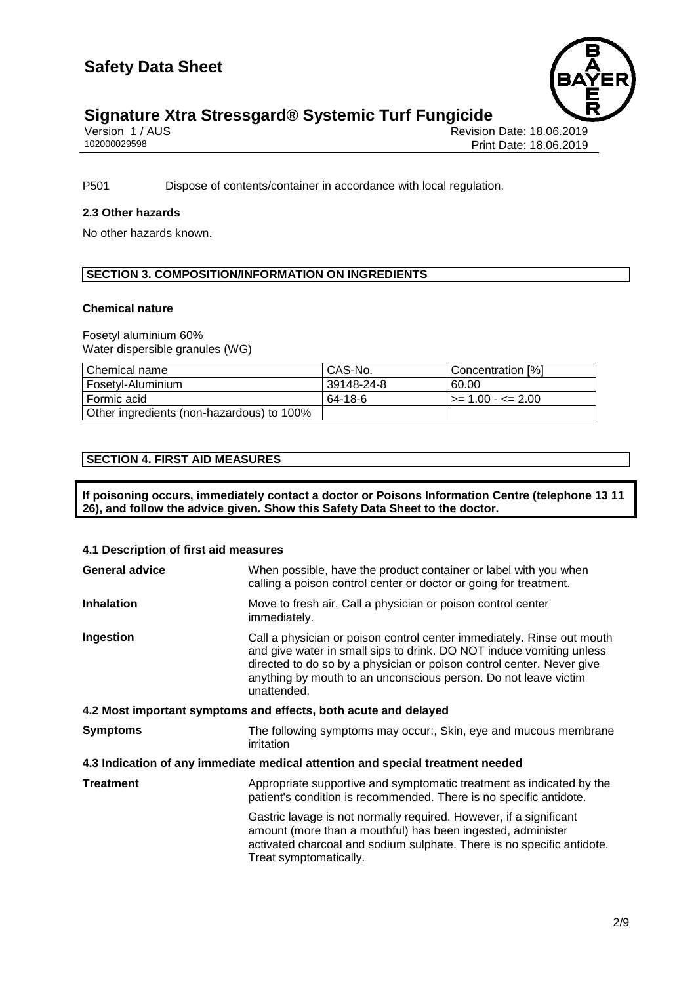

## **Signature Xtra Stressgard® Systemic Turf Fungicide 2/9**

| Version 1 / AUS |  |  |
|-----------------|--|--|
| 102000029598    |  |  |

Revision Date: 18.06.2019 Print Date: 18.06.2019

P501 Dispose of contents/container in accordance with local regulation.

## **2.3 Other hazards**

No other hazards known.

## **SECTION 3. COMPOSITION/INFORMATION ON INGREDIENTS**

## **Chemical nature**

Fosetyl aluminium 60% Water dispersible granules (WG)

| Chemical name                             | CAS-No.    | Concentration [%]   |
|-------------------------------------------|------------|---------------------|
| Fosetyl-Aluminium                         | 39148-24-8 | 60.00               |
| l Formic acid                             | 64-18-6    | l >= 1.00 - <= 2.00 |
| Other ingredients (non-hazardous) to 100% |            |                     |

## **SECTION 4. FIRST AID MEASURES**

**If poisoning occurs, immediately contact a doctor or Poisons Information Centre (telephone 13 11 26), and follow the advice given. Show this Safety Data Sheet to the doctor.**

#### **4.1 Description of first aid measures**

| <b>General advice</b>                                           | When possible, have the product container or label with you when<br>calling a poison control center or doctor or going for treatment.                                                                                                                                                                     |  |  |  |
|-----------------------------------------------------------------|-----------------------------------------------------------------------------------------------------------------------------------------------------------------------------------------------------------------------------------------------------------------------------------------------------------|--|--|--|
| <b>Inhalation</b>                                               | Move to fresh air. Call a physician or poison control center<br>immediately.                                                                                                                                                                                                                              |  |  |  |
| Ingestion                                                       | Call a physician or poison control center immediately. Rinse out mouth<br>and give water in small sips to drink. DO NOT induce vomiting unless<br>directed to do so by a physician or poison control center. Never give<br>anything by mouth to an unconscious person. Do not leave victim<br>unattended. |  |  |  |
| 4.2 Most important symptoms and effects, both acute and delayed |                                                                                                                                                                                                                                                                                                           |  |  |  |
| <b>Symptoms</b>                                                 | The following symptoms may occur:, Skin, eye and mucous membrane<br>irritation                                                                                                                                                                                                                            |  |  |  |
|                                                                 | 4.3 Indication of any immediate medical attention and special treatment needed                                                                                                                                                                                                                            |  |  |  |
| <b>Treatment</b>                                                | Appropriate supportive and symptomatic treatment as indicated by the<br>patient's condition is recommended. There is no specific antidote.                                                                                                                                                                |  |  |  |
|                                                                 | Gastric lavage is not normally required. However, if a significant<br>amount (more than a mouthful) has been ingested, administer<br>activated charcoal and sodium sulphate. There is no specific antidote.<br>Treat symptomatically.                                                                     |  |  |  |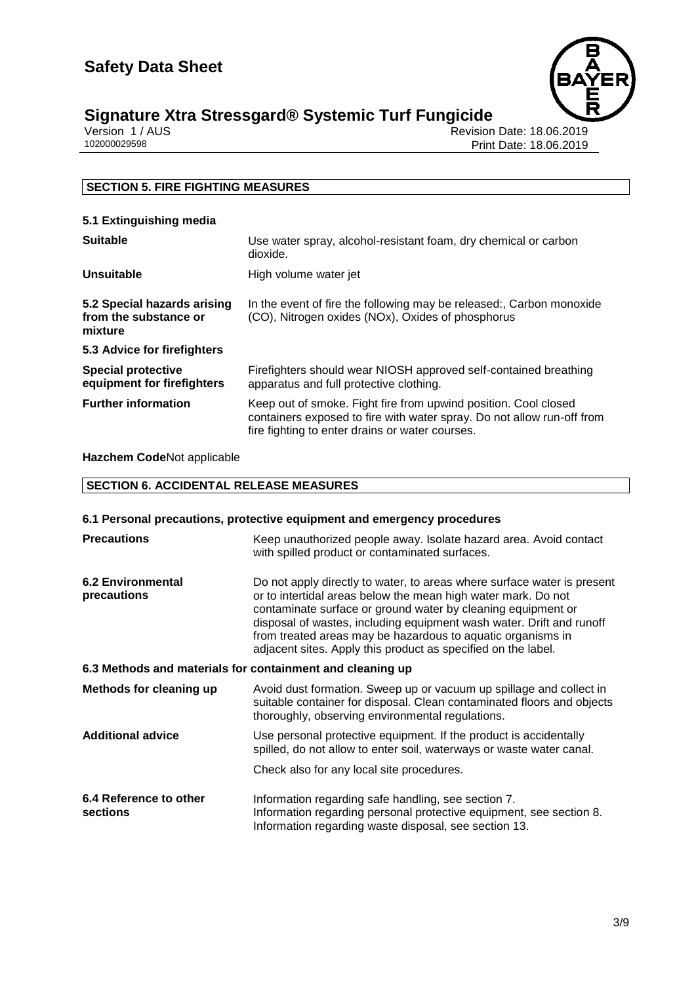

## **Signature Xtra Stressgard® Systemic Turf Fungicide 3/9**

| Version 1 / AUS |  |
|-----------------|--|
| 102000029598    |  |

Revision Date: 18.06.2019 Print Date: 18.06.2019

## **SECTION 5. FIRE FIGHTING MEASURES**

| 5.1 Extinguishing media |  |
|-------------------------|--|
|                         |  |

| <b>Suitable</b>                                                 | Use water spray, alcohol-resistant foam, dry chemical or carbon<br>dioxide.                                                                                                                  |  |
|-----------------------------------------------------------------|----------------------------------------------------------------------------------------------------------------------------------------------------------------------------------------------|--|
| <b>Unsuitable</b>                                               | High volume water jet                                                                                                                                                                        |  |
| 5.2 Special hazards arising<br>from the substance or<br>mixture | In the event of fire the following may be released:, Carbon monoxide<br>(CO), Nitrogen oxides (NOx), Oxides of phosphorus                                                                    |  |
| 5.3 Advice for firefighters                                     |                                                                                                                                                                                              |  |
| <b>Special protective</b><br>equipment for firefighters         | Firefighters should wear NIOSH approved self-contained breathing<br>apparatus and full protective clothing.                                                                                  |  |
| <b>Further information</b>                                      | Keep out of smoke. Fight fire from upwind position. Cool closed<br>containers exposed to fire with water spray. Do not allow run-off from<br>fire fighting to enter drains or water courses. |  |

**Hazchem Code**Not applicable

## **SECTION 6. ACCIDENTAL RELEASE MEASURES**

## **6.1 Personal precautions, protective equipment and emergency procedures**

| <b>Precautions</b>                      | Keep unauthorized people away. Isolate hazard area. Avoid contact<br>with spilled product or contaminated surfaces.                                                                                                                                                                                                                                                                                              |  |
|-----------------------------------------|------------------------------------------------------------------------------------------------------------------------------------------------------------------------------------------------------------------------------------------------------------------------------------------------------------------------------------------------------------------------------------------------------------------|--|
| <b>6.2 Environmental</b><br>precautions | Do not apply directly to water, to areas where surface water is present<br>or to intertidal areas below the mean high water mark. Do not<br>contaminate surface or ground water by cleaning equipment or<br>disposal of wastes, including equipment wash water. Drift and runoff<br>from treated areas may be hazardous to aquatic organisms in<br>adjacent sites. Apply this product as specified on the label. |  |
|                                         | 6.3 Methods and materials for containment and cleaning up                                                                                                                                                                                                                                                                                                                                                        |  |
| <b>Methods for cleaning up</b>          | Avoid dust formation. Sweep up or vacuum up spillage and collect in<br>suitable container for disposal. Clean contaminated floors and objects<br>thoroughly, observing environmental regulations.                                                                                                                                                                                                                |  |
| <b>Additional advice</b>                | Use personal protective equipment. If the product is accidentally<br>spilled, do not allow to enter soil, waterways or waste water canal.                                                                                                                                                                                                                                                                        |  |
|                                         | Check also for any local site procedures.                                                                                                                                                                                                                                                                                                                                                                        |  |
| 6.4 Reference to other<br>sections      | Information regarding safe handling, see section 7.<br>Information regarding personal protective equipment, see section 8.<br>Information regarding waste disposal, see section 13.                                                                                                                                                                                                                              |  |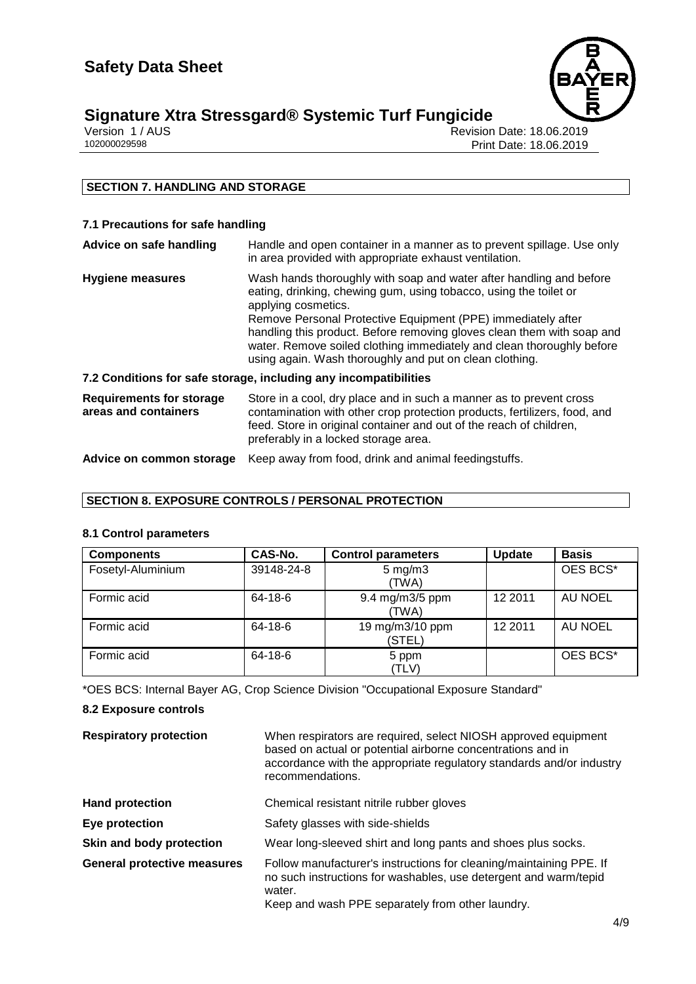

# **Signature Xtra Stressgard® Systemic Turf Fungicide**<br>Version 1/AUS<br>Print

Revision Date: 18.06.2019 Print Date: 18.06.2019

## **SECTION 7. HANDLING AND STORAGE**

## **7.1 Precautions for safe handling**

| Advice on safe handling                                 | Handle and open container in a manner as to prevent spillage. Use only<br>in area provided with appropriate exhaust ventilation.                                                                                                                                                                                                                                                                                                              |  |
|---------------------------------------------------------|-----------------------------------------------------------------------------------------------------------------------------------------------------------------------------------------------------------------------------------------------------------------------------------------------------------------------------------------------------------------------------------------------------------------------------------------------|--|
| <b>Hygiene measures</b>                                 | Wash hands thoroughly with soap and water after handling and before<br>eating, drinking, chewing gum, using tobacco, using the toilet or<br>applying cosmetics.<br>Remove Personal Protective Equipment (PPE) immediately after<br>handling this product. Before removing gloves clean them with soap and<br>water. Remove soiled clothing immediately and clean thoroughly before<br>using again. Wash thoroughly and put on clean clothing. |  |
|                                                         | 7.2 Conditions for safe storage, including any incompatibilities                                                                                                                                                                                                                                                                                                                                                                              |  |
| <b>Requirements for storage</b><br>areas and containers | Store in a cool, dry place and in such a manner as to prevent cross<br>contamination with other crop protection products, fertilizers, food, and<br>feed. Store in original container and out of the reach of children,<br>preferably in a locked storage area.                                                                                                                                                                               |  |
| Advice on common storage                                | Keep away from food, drink and animal feedingstuffs.                                                                                                                                                                                                                                                                                                                                                                                          |  |

## **SECTION 8. EXPOSURE CONTROLS / PERSONAL PROTECTION**

## **8.1 Control parameters**

| <b>Components</b> | CAS-No.    | <b>Control parameters</b>   | <b>Update</b> | <b>Basis</b> |
|-------------------|------------|-----------------------------|---------------|--------------|
| Fosetyl-Aluminium | 39148-24-8 | $5 \text{ mg/m}$ 3<br>(TWA) |               | OES BCS*     |
| Formic acid       | 64-18-6    | 9.4 mg/m3/5 ppm<br>(TWA)    | 12 2011       | AU NOEL      |
| Formic acid       | 64-18-6    | 19 mg/m3/10 ppm<br>(STEL)   | 12 2011       | AU NOEL      |
| Formic acid       | 64-18-6    | 5 ppm<br>(TLV)              |               | OES BCS*     |

\*OES BCS: Internal Bayer AG, Crop Science Division "Occupational Exposure Standard"

## **8.2 Exposure controls**

| <b>Respiratory protection</b>      | When respirators are required, select NIOSH approved equipment<br>based on actual or potential airborne concentrations and in<br>accordance with the appropriate regulatory standards and/or industry<br>recommendations. |
|------------------------------------|---------------------------------------------------------------------------------------------------------------------------------------------------------------------------------------------------------------------------|
| <b>Hand protection</b>             | Chemical resistant nitrile rubber gloves                                                                                                                                                                                  |
| Eye protection                     | Safety glasses with side-shields                                                                                                                                                                                          |
| Skin and body protection           | Wear long-sleeved shirt and long pants and shoes plus socks.                                                                                                                                                              |
| <b>General protective measures</b> | Follow manufacturer's instructions for cleaning/maintaining PPE. If<br>no such instructions for washables, use detergent and warm/tepid<br>water.<br>Keep and wash PPE separately from other laundry.                     |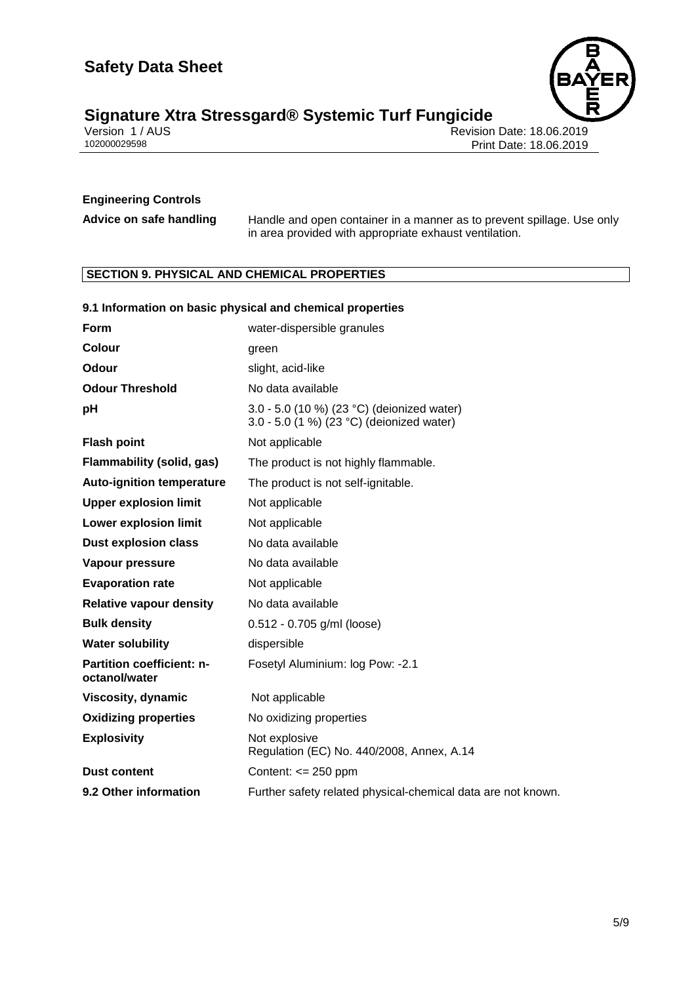

# **Signature Xtra Stressgard® Systemic Turf Fungicide**<br> **Signature Xtra Stressgard® Systemic Turf Fungicide**<br> **Print** Print

Revision Date: 18.06.2019 Print Date: 18.06.2019

## **Engineering Controls**

**Advice on safe handling** Handle and open container in a manner as to prevent spillage. Use only in area provided with appropriate exhaust ventilation.

## **SECTION 9. PHYSICAL AND CHEMICAL PROPERTIES**

|                                            | 9.1 Information on basic physical and chemical properties                               |
|--------------------------------------------|-----------------------------------------------------------------------------------------|
| Form                                       | water-dispersible granules                                                              |
| <b>Colour</b>                              | green                                                                                   |
| Odour                                      | slight, acid-like                                                                       |
| <b>Odour Threshold</b>                     | No data available                                                                       |
| pH                                         | 3.0 - 5.0 (10 %) (23 °C) (deionized water)<br>3.0 - 5.0 (1 %) (23 °C) (deionized water) |
| <b>Flash point</b>                         | Not applicable                                                                          |
| <b>Flammability (solid, gas)</b>           | The product is not highly flammable.                                                    |
| <b>Auto-ignition temperature</b>           | The product is not self-ignitable.                                                      |
| <b>Upper explosion limit</b>               | Not applicable                                                                          |
| <b>Lower explosion limit</b>               | Not applicable                                                                          |
| <b>Dust explosion class</b>                | No data available                                                                       |
| <b>Vapour pressure</b>                     | No data available                                                                       |
| <b>Evaporation rate</b>                    | Not applicable                                                                          |
| <b>Relative vapour density</b>             | No data available                                                                       |
| <b>Bulk density</b>                        | $0.512 - 0.705$ g/ml (loose)                                                            |
| <b>Water solubility</b>                    | dispersible                                                                             |
| Partition coefficient: n-<br>octanol/water | Fosetyl Aluminium: log Pow: -2.1                                                        |
| Viscosity, dynamic                         | Not applicable                                                                          |
| <b>Oxidizing properties</b>                | No oxidizing properties                                                                 |
| <b>Explosivity</b>                         | Not explosive<br>Regulation (EC) No. 440/2008, Annex, A.14                              |
| <b>Dust content</b>                        | Content: $\leq$ 250 ppm                                                                 |
| 9.2 Other information                      | Further safety related physical-chemical data are not known.                            |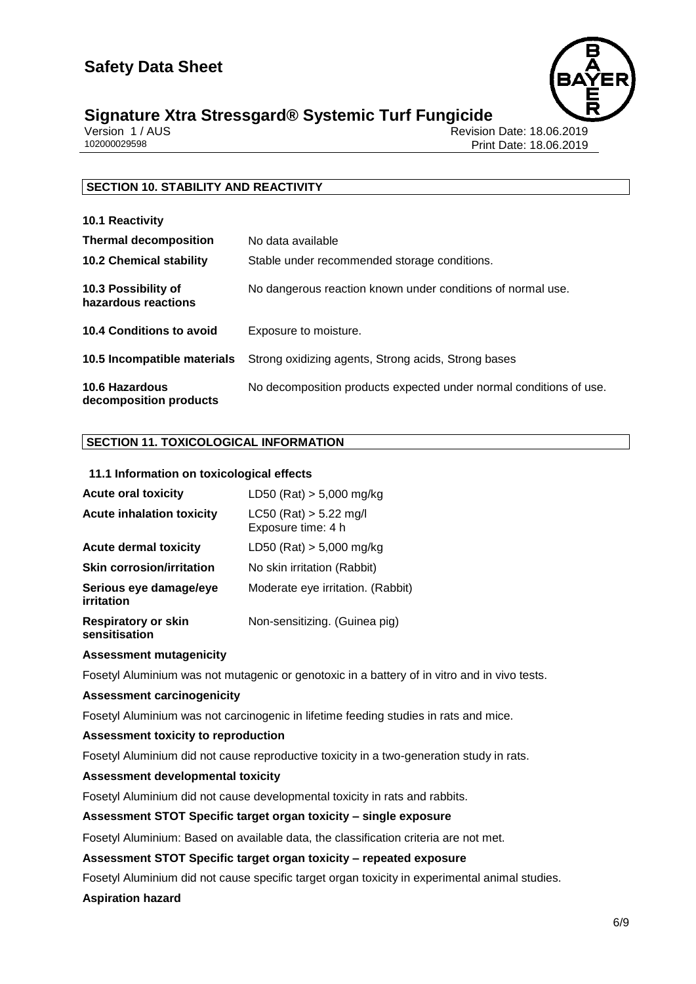

## **Signature Xtra Stressgard® Systemic Turf Fungicide 6/9**

| Version 1 / AUS |  |
|-----------------|--|
| 102000029598    |  |

Revision Date: 18.06.2019 Print Date: 18.06.2019

## **SECTION 10. STABILITY AND REACTIVITY**

| 10.1 Reactivity                                 |                                                                    |
|-------------------------------------------------|--------------------------------------------------------------------|
| <b>Thermal decomposition</b>                    | No data available                                                  |
| <b>10.2 Chemical stability</b>                  | Stable under recommended storage conditions.                       |
| 10.3 Possibility of<br>hazardous reactions      | No dangerous reaction known under conditions of normal use.        |
| 10.4 Conditions to avoid                        | Exposure to moisture.                                              |
| 10.5 Incompatible materials                     | Strong oxidizing agents, Strong acids, Strong bases                |
| <b>10.6 Hazardous</b><br>decomposition products | No decomposition products expected under normal conditions of use. |

## **SECTION 11. TOXICOLOGICAL INFORMATION**

## **11.1 Information on toxicological effects**

| <b>Acute oral toxicity</b>                  | LD50 (Rat) $> 5,000$ mg/kg                       |
|---------------------------------------------|--------------------------------------------------|
| <b>Acute inhalation toxicity</b>            | $LC50$ (Rat) $> 5.22$ mg/l<br>Exposure time: 4 h |
| <b>Acute dermal toxicity</b>                | LD50 (Rat) $> 5,000$ mg/kg                       |
| <b>Skin corrosion/irritation</b>            | No skin irritation (Rabbit)                      |
| Serious eye damage/eye<br>irritation        | Moderate eye irritation. (Rabbit)                |
| <b>Respiratory or skin</b><br>sensitisation | Non-sensitizing. (Guinea pig)                    |

## **Assessment mutagenicity**

Fosetyl Aluminium was not mutagenic or genotoxic in a battery of in vitro and in vivo tests.

#### **Assessment carcinogenicity**

Fosetyl Aluminium was not carcinogenic in lifetime feeding studies in rats and mice.

#### **Assessment toxicity to reproduction**

Fosetyl Aluminium did not cause reproductive toxicity in a two-generation study in rats.

## **Assessment developmental toxicity**

Fosetyl Aluminium did not cause developmental toxicity in rats and rabbits.

## **Assessment STOT Specific target organ toxicity – single exposure**

Fosetyl Aluminium: Based on available data, the classification criteria are not met.

#### **Assessment STOT Specific target organ toxicity – repeated exposure**

Fosetyl Aluminium did not cause specific target organ toxicity in experimental animal studies.

**Aspiration hazard**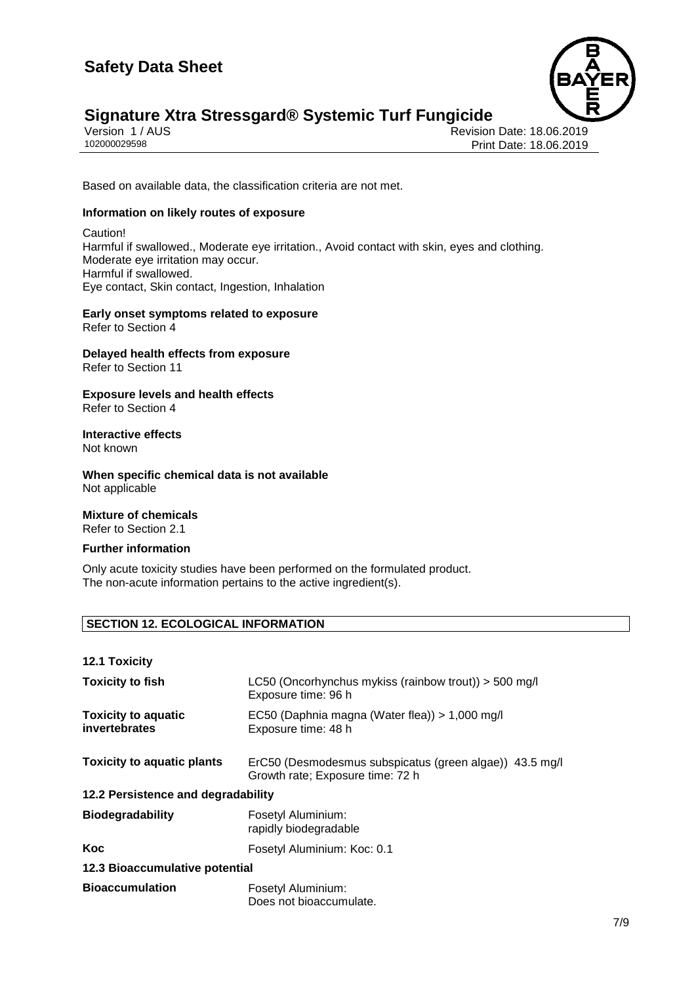

## **Signature Xtra Stressgard® Systemic Turf Fungicide** Version 1/AUS

Version 1 / AUS Revision Date: 18.06.2019 Print Date: 18.06.2019

Based on available data, the classification criteria are not met.

## **Information on likely routes of exposure**

Caution! Harmful if swallowed., Moderate eye irritation., Avoid contact with skin, eyes and clothing. Moderate eye irritation may occur. Harmful if swallowed. Eye contact, Skin contact, Ingestion, Inhalation

**Early onset symptoms related to exposure** Refer to Section 4

## **Delayed health effects from exposure** Refer to Section 11

**Exposure levels and health effects** Refer to Section 4

#### **Interactive effects** Not known

**When specific chemical data is not available** Not applicable

## **Mixture of chemicals** Refer to Section 2.1

## **Further information**

Only acute toxicity studies have been performed on the formulated product. The non-acute information pertains to the active ingredient(s).

## **SECTION 12. ECOLOGICAL INFORMATION**

| <b>12.1 Toxicity</b>                        |                                                                                             |  |
|---------------------------------------------|---------------------------------------------------------------------------------------------|--|
| <b>Toxicity to fish</b>                     | LC50 (Oncorhynchus mykiss (rainbow trout)) > 500 mg/l<br>Exposure time: 96 h                |  |
| <b>Toxicity to aquatic</b><br>invertebrates | EC50 (Daphnia magna (Water flea)) > 1,000 mg/l<br>Exposure time: 48 h                       |  |
| <b>Toxicity to aquatic plants</b>           | ErC50 (Desmodesmus subspicatus (green algae)) 43.5 mg/l<br>Growth rate; Exposure time: 72 h |  |
| 12.2 Persistence and degradability          |                                                                                             |  |
| <b>Biodegradability</b>                     | Fosetyl Aluminium:<br>rapidly biodegradable                                                 |  |
| Koc                                         | Fosetyl Aluminium: Koc: 0.1                                                                 |  |
| 12.3 Bioaccumulative potential              |                                                                                             |  |
| <b>Bioaccumulation</b>                      | Fosetyl Aluminium:<br>Does not bioaccumulate.                                               |  |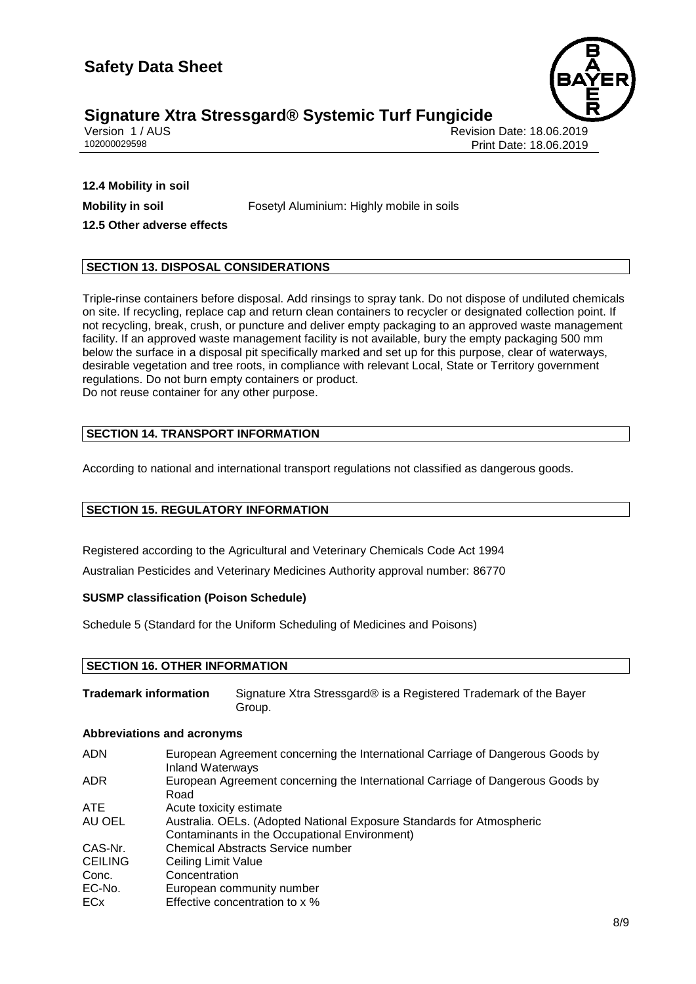

## **Signature Xtra Stressgard® Systemic Turf Fungicide 8/9**

Version 1 / AUS Revision Date: 18.06.2019 Print Date: 18.06.2019

**12.4 Mobility in soil 12.5 Other adverse effects**

**Mobility in soil** Fosetyl Aluminium: Highly mobile in soils

## **SECTION 13. DISPOSAL CONSIDERATIONS**

Triple-rinse containers before disposal. Add rinsings to spray tank. Do not dispose of undiluted chemicals on site. If recycling, replace cap and return clean containers to recycler or designated collection point. If not recycling, break, crush, or puncture and deliver empty packaging to an approved waste management facility. If an approved waste management facility is not available, bury the empty packaging 500 mm below the surface in a disposal pit specifically marked and set up for this purpose, clear of waterways, desirable vegetation and tree roots, in compliance with relevant Local, State or Territory government regulations. Do not burn empty containers or product. Do not reuse container for any other purpose.

## **SECTION 14. TRANSPORT INFORMATION**

According to national and international transport regulations not classified as dangerous goods.

## **SECTION 15. REGULATORY INFORMATION**

Registered according to the Agricultural and Veterinary Chemicals Code Act 1994 Australian Pesticides and Veterinary Medicines Authority approval number: 86770

## **SUSMP classification (Poison Schedule)**

Schedule 5 (Standard for the Uniform Scheduling of Medicines and Poisons)

## **SECTION 16. OTHER INFORMATION**

**Trademark information** Signature Xtra Stressgard® is a Registered Trademark of the Bayer Group.

## **Abbreviations and acronyms**

| <b>ADN</b>     | European Agreement concerning the International Carriage of Dangerous Goods by<br><b>Inland Waterways</b> |
|----------------|-----------------------------------------------------------------------------------------------------------|
| ADR.           | European Agreement concerning the International Carriage of Dangerous Goods by<br>Road                    |
| ATE.           | Acute toxicity estimate                                                                                   |
| AU OEL         | Australia. OELs. (Adopted National Exposure Standards for Atmospheric                                     |
|                | Contaminants in the Occupational Environment)                                                             |
| CAS-Nr.        | <b>Chemical Abstracts Service number</b>                                                                  |
| <b>CEILING</b> | Ceiling Limit Value                                                                                       |
| Conc.          | Concentration                                                                                             |
| EC-No.         | European community number                                                                                 |
| ECx            | Effective concentration to x %                                                                            |